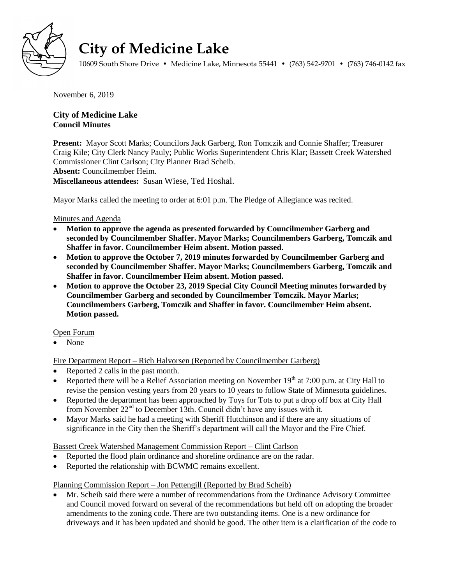

# **City of Medicine Lake**

10609 South Shore Drive • Medicine Lake, Minnesota 55441 • (763) 542-9701 • (763) 746-0142 fax

November 6, 2019

# **City of Medicine Lake Council Minutes**

**Present:** Mayor Scott Marks; Councilors Jack Garberg, Ron Tomczik and Connie Shaffer; Treasurer Craig Kile; City Clerk Nancy Pauly; Public Works Superintendent Chris Klar; Bassett Creek Watershed Commissioner Clint Carlson; City Planner Brad Scheib.

**Absent:** Councilmember Heim.

**Miscellaneous attendees:** Susan Wiese, Ted Hoshal.

Mayor Marks called the meeting to order at 6:01 p.m. The Pledge of Allegiance was recited.

# Minutes and Agenda

- **Motion to approve the agenda as presented forwarded by Councilmember Garberg and seconded by Councilmember Shaffer. Mayor Marks; Councilmembers Garberg, Tomczik and Shaffer in favor. Councilmember Heim absent. Motion passed.**
- **Motion to approve the October 7, 2019 minutes forwarded by Councilmember Garberg and seconded by Councilmember Shaffer. Mayor Marks; Councilmembers Garberg, Tomczik and Shaffer in favor. Councilmember Heim absent. Motion passed.**
- **Motion to approve the October 23, 2019 Special City Council Meeting minutes forwarded by Councilmember Garberg and seconded by Councilmember Tomczik. Mayor Marks; Councilmembers Garberg, Tomczik and Shaffer in favor. Councilmember Heim absent. Motion passed.**

# Open Forum

None

Fire Department Report – Rich Halvorsen (Reported by Councilmember Garberg)

- Reported 2 calls in the past month.
- Reported there will be a Relief Association meeting on November  $19<sup>th</sup>$  at 7:00 p.m. at City Hall to revise the pension vesting years from 20 years to 10 years to follow State of Minnesota guidelines.
- Reported the department has been approached by Toys for Tots to put a drop off box at City Hall from November  $22<sup>nd</sup>$  to December 13th. Council didn't have any issues with it.
- Mayor Marks said he had a meeting with Sheriff Hutchinson and if there are any situations of significance in the City then the Sheriff's department will call the Mayor and the Fire Chief.

Bassett Creek Watershed Management Commission Report – Clint Carlson

- Reported the flood plain ordinance and shoreline ordinance are on the radar.
- Reported the relationship with BCWMC remains excellent.

# Planning Commission Report – Jon Pettengill (Reported by Brad Scheib)

 Mr. Scheib said there were a number of recommendations from the Ordinance Advisory Committee and Council moved forward on several of the recommendations but held off on adopting the broader amendments to the zoning code. There are two outstanding items. One is a new ordinance for driveways and it has been updated and should be good. The other item is a clarification of the code to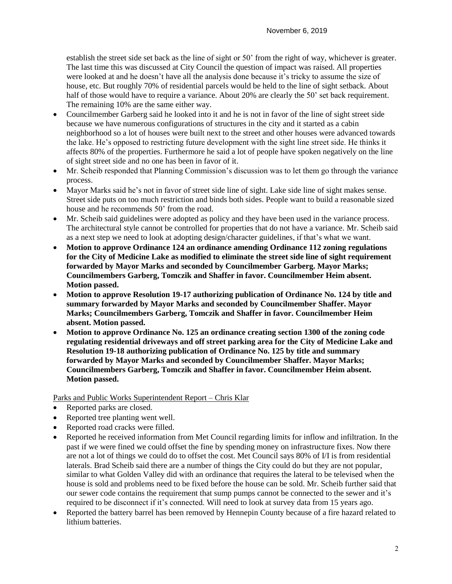establish the street side set back as the line of sight or 50' from the right of way, whichever is greater. The last time this was discussed at City Council the question of impact was raised. All properties were looked at and he doesn't have all the analysis done because it's tricky to assume the size of house, etc. But roughly 70% of residential parcels would be held to the line of sight setback. About half of those would have to require a variance. About 20% are clearly the 50' set back requirement. The remaining 10% are the same either way.

- Councilmember Garberg said he looked into it and he is not in favor of the line of sight street side because we have numerous configurations of structures in the city and it started as a cabin neighborhood so a lot of houses were built next to the street and other houses were advanced towards the lake. He's opposed to restricting future development with the sight line street side. He thinks it affects 80% of the properties. Furthermore he said a lot of people have spoken negatively on the line of sight street side and no one has been in favor of it.
- Mr. Scheib responded that Planning Commission's discussion was to let them go through the variance process.
- Mayor Marks said he's not in favor of street side line of sight. Lake side line of sight makes sense. Street side puts on too much restriction and binds both sides. People want to build a reasonable sized house and he recommends 50' from the road.
- Mr. Scheib said guidelines were adopted as policy and they have been used in the variance process. The architectural style cannot be controlled for properties that do not have a variance. Mr. Scheib said as a next step we need to look at adopting design/character guidelines, if that's what we want.
- **Motion to approve Ordinance 124 an ordinance amending Ordinance 112 zoning regulations for the City of Medicine Lake as modified to eliminate the street side line of sight requirement forwarded by Mayor Marks and seconded by Councilmember Garberg. Mayor Marks; Councilmembers Garberg, Tomczik and Shaffer in favor. Councilmember Heim absent. Motion passed.**
- **Motion to approve Resolution 19-17 authorizing publication of Ordinance No. 124 by title and summary forwarded by Mayor Marks and seconded by Councilmember Shaffer. Mayor Marks; Councilmembers Garberg, Tomczik and Shaffer in favor. Councilmember Heim absent. Motion passed.**
- **Motion to approve Ordinance No. 125 an ordinance creating section 1300 of the zoning code regulating residential driveways and off street parking area for the City of Medicine Lake and Resolution 19-18 authorizing publication of Ordinance No. 125 by title and summary forwarded by Mayor Marks and seconded by Councilmember Shaffer. Mayor Marks; Councilmembers Garberg, Tomczik and Shaffer in favor. Councilmember Heim absent. Motion passed.**

Parks and Public Works Superintendent Report – Chris Klar

- Reported parks are closed.
- Reported tree planting went well.
- Reported road cracks were filled.
- Reported he received information from Met Council regarding limits for inflow and infiltration. In the past if we were fined we could offset the fine by spending money on infrastructure fixes. Now there are not a lot of things we could do to offset the cost. Met Council says 80% of I/I is from residential laterals. Brad Scheib said there are a number of things the City could do but they are not popular, similar to what Golden Valley did with an ordinance that requires the lateral to be televised when the house is sold and problems need to be fixed before the house can be sold. Mr. Scheib further said that our sewer code contains the requirement that sump pumps cannot be connected to the sewer and it's required to be disconnect if it's connected. Will need to look at survey data from 15 years ago.
- Reported the battery barrel has been removed by Hennepin County because of a fire hazard related to lithium batteries.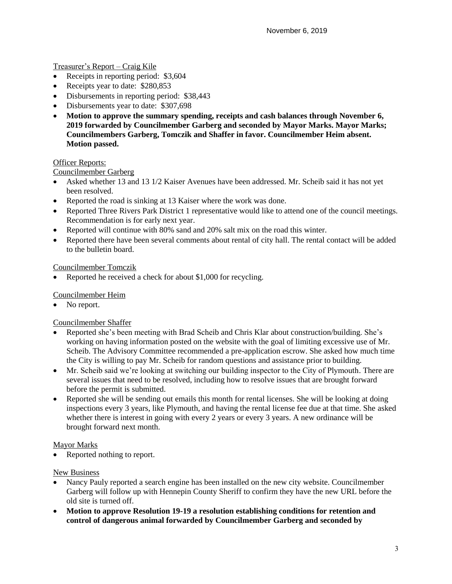Treasurer's Report – Craig Kile

- Receipts in reporting period: \$3,604
- Receipts year to date: \$280,853
- Disbursements in reporting period: \$38,443
- Disbursements year to date: \$307,698
- **Motion to approve the summary spending, receipts and cash balances through November 6, 2019 forwarded by Councilmember Garberg and seconded by Mayor Marks. Mayor Marks; Councilmembers Garberg, Tomczik and Shaffer in favor. Councilmember Heim absent. Motion passed.**

#### Officer Reports:

#### Councilmember Garberg

- Asked whether 13 and 13 1/2 Kaiser Avenues have been addressed. Mr. Scheib said it has not yet been resolved.
- Reported the road is sinking at 13 Kaiser where the work was done.
- Reported Three Rivers Park District 1 representative would like to attend one of the council meetings. Recommendation is for early next year.
- Reported will continue with 80% sand and 20% salt mix on the road this winter.
- Reported there have been several comments about rental of city hall. The rental contact will be added to the bulletin board.

#### Councilmember Tomczik

Reported he received a check for about \$1,000 for recycling.

## Councilmember Heim

• No report.

## Councilmember Shaffer

- Reported she's been meeting with Brad Scheib and Chris Klar about construction/building. She's working on having information posted on the website with the goal of limiting excessive use of Mr. Scheib. The Advisory Committee recommended a pre-application escrow. She asked how much time the City is willing to pay Mr. Scheib for random questions and assistance prior to building.
- Mr. Scheib said we're looking at switching our building inspector to the City of Plymouth. There are several issues that need to be resolved, including how to resolve issues that are brought forward before the permit is submitted.
- Reported she will be sending out emails this month for rental licenses. She will be looking at doing inspections every 3 years, like Plymouth, and having the rental license fee due at that time. She asked whether there is interest in going with every 2 years or every 3 years. A new ordinance will be brought forward next month.

## Mayor Marks

Reported nothing to report.

## New Business

- Nancy Pauly reported a search engine has been installed on the new city website. Councilmember Garberg will follow up with Hennepin County Sheriff to confirm they have the new URL before the old site is turned off.
- **Motion to approve Resolution 19-19 a resolution establishing conditions for retention and control of dangerous animal forwarded by Councilmember Garberg and seconded by**